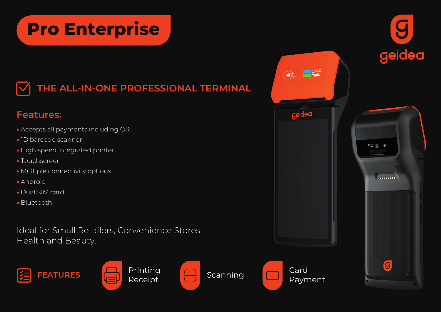## **Pro Enterprise**



## **Features:**

- Accepts all payments including QR
- 1D barcode scanner
- High speed integrated printer
- Touchscreen
- Multiple connectivity options
- Android
- Dual SIM card
- Bluetooth

Ideal for Small Retailers, Convenience Stores, Health and Beauty.









Card

مدی  $\frac{1}{2}$ 

 $^{\prime}$  ((((  $^{\prime}$ 

geidea